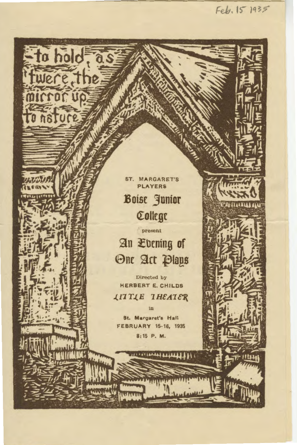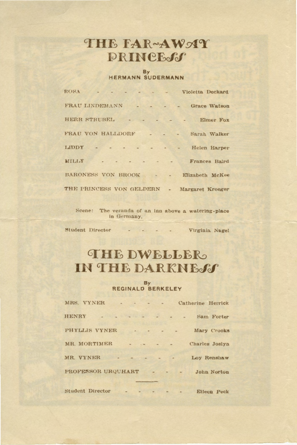### THE FAR~AWMY **PRINCE-SS**

## By<br>HERMANN SUDERMANN

| ROSA                      |  |  |                                                                                                                                                                                                                                                                                                                                                                                                                                                                               |                             | Violetta Deckard     |
|---------------------------|--|--|-------------------------------------------------------------------------------------------------------------------------------------------------------------------------------------------------------------------------------------------------------------------------------------------------------------------------------------------------------------------------------------------------------------------------------------------------------------------------------|-----------------------------|----------------------|
| FRAU LINDEMANN            |  |  |                                                                                                                                                                                                                                                                                                                                                                                                                                                                               |                             | Grace Watson         |
| HERR STRUBEL              |  |  |                                                                                                                                                                                                                                                                                                                                                                                                                                                                               | $\sim$ $\sim$ $\sim$ $\sim$ | Elmer Fox            |
| FRAU VON HALLDORF         |  |  | $\frac{1}{2} \left( \frac{1}{2} \right) \left( \frac{1}{2} \right) \left( \frac{1}{2} \right) \left( \frac{1}{2} \right) \left( \frac{1}{2} \right) \left( \frac{1}{2} \right) \left( \frac{1}{2} \right) \left( \frac{1}{2} \right) \left( \frac{1}{2} \right) \left( \frac{1}{2} \right) \left( \frac{1}{2} \right) \left( \frac{1}{2} \right) \left( \frac{1}{2} \right) \left( \frac{1}{2} \right) \left( \frac{1}{2} \right) \left( \frac{1}{2} \right) \left( \frac$    |                             | Sarah Walker         |
| <b>LIDDY</b>              |  |  | $\begin{array}{ccccccccccccc} \multicolumn{2}{c }{\multicolumn{2}{c }{\multicolumn{2}{c }{\multicolumn{2}{c }{\multicolumn{2}{c }{\multicolumn{2}{c}}}} & \multicolumn{2}{c }{\multicolumn{2}{c }{\multicolumn{2}{c }{\multicolumn{2}{c}}}} & \multicolumn{2}{c }{\multicolumn{2}{c }{\multicolumn{2}{c }{\multicolumn{2}{c }{\multicolumn{2}{c}}}} & \multicolumn{2}{c }{\multicolumn{2}{c }{\multicolumn{2}{c }{\multicolumn{2}{c}}}} & \multicolumn{2}{c }{\multicolumn{2$ |                             | Helen Harper         |
| <b>MILLY</b>              |  |  |                                                                                                                                                                                                                                                                                                                                                                                                                                                                               |                             | <b>Frances Baird</b> |
| <b>BARONESS VON BROOK</b> |  |  |                                                                                                                                                                                                                                                                                                                                                                                                                                                                               |                             | Elizabeth McKee      |
| THE PRINCESS VON GELDERN  |  |  |                                                                                                                                                                                                                                                                                                                                                                                                                                                                               |                             | Margaret Kroeger     |

Scene: The veranda of an inn above a watering-place in Germany,

Student Director - - - - - Virginia Nagel

# **THE DWELLER** IN THE DARKNESS

By<br>REGINALD BERKELEY

| MRS. VYNER         |                                                                                                                                                                        | Catherine Herrlek |
|--------------------|------------------------------------------------------------------------------------------------------------------------------------------------------------------------|-------------------|
| <b>HENRY</b>       |                                                                                                                                                                        | Sam Forter        |
| PHYLLIS VYNER      |                                                                                                                                                                        | Mary Crooks       |
| MR. MORTIMER       | <b>Contract Contract Contract</b>                                                                                                                                      | Charles Joslyn    |
| MR. VYNER          | $ -$                                                                                                                                                                   | Loy Renshaw       |
| PROFESSOR URQUHART | $\label{eq:2.1} \mathcal{L} = \mathcal{L} \mathcal{L}$<br>$\frac{1}{2} \left( \frac{1}{2} \right) \left( \frac{1}{2} \right) = \frac{1}{2} \left( \frac{1}{2} \right)$ | John Norton       |

Student Director Eileen Peck  $\sim$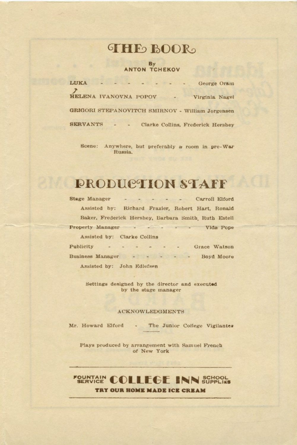### **THE BOOR**

### By<br>ANTON TCHEKOV

| <b>LUKA</b><br>$  -$                                                         | George Oram                       |
|------------------------------------------------------------------------------|-----------------------------------|
| HELENA IVANOVNA POPOV                                                        | Virginia Nagel                    |
| GRIGORI STEPANOVITCH SMIRNOV - William Jorgensen                             |                                   |
| <b>SERVANTS</b><br>$\begin{array}{ccc} \cdots & \cdots & \cdots \end{array}$ | Clarke Collins, Frederick Hershey |

Scene: Anywhere, but preferably a room in pre-War Russia.

# **EN PRODUCTION STAFF**

| Stage Manager |                                                      | - - - - - - Carroll Elford |              |
|---------------|------------------------------------------------------|----------------------------|--------------|
|               | Assisted by: Richard Frazier, Robert Hart, Ronald    |                            |              |
|               | Baker, Frederick Hershey, Barbara Smith, Ruth Estell |                            |              |
|               | Property Manager - - - - - -                         |                            | Vida Pope    |
|               | Assisted by: Clarke Collins                          |                            |              |
| Publicity     |                                                      |                            | Grace Watson |
|               | Business Manager - - - - - Boyd Moore                |                            |              |
|               | Assisted by: John Edlefsen                           |                            |              |

Settings designed by the director and executed by the stage manager

#### **ACKNOWLEDGMENTS**

Mr. Howard Elford - The Junior College Vigilantes

Plays produced by arrangement with Samuel French of New York

#### **FOUNTAIN COLLEGE INN SUPPLISS** TRY OUR HOME MADE ICE CREAM